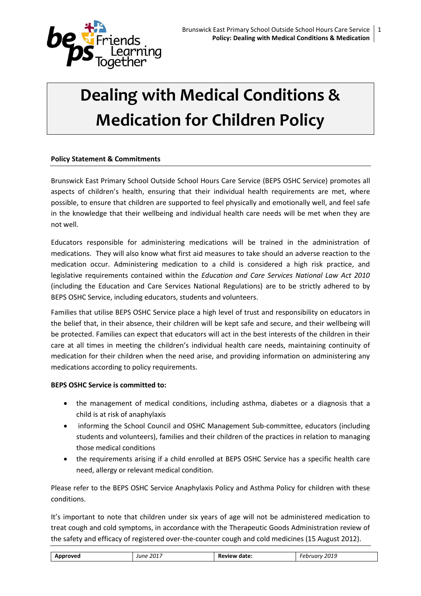

# **Dealing with Medical Conditions & Medication for Children Policy**

## **Policy Statement & Commitments**

Brunswick East Primary School Outside School Hours Care Service (BEPS OSHC Service) promotes all aspects of children's health, ensuring that their individual health requirements are met, where possible, to ensure that children are supported to feel physically and emotionally well, and feel safe in the knowledge that their wellbeing and individual health care needs will be met when they are not well.

Educators responsible for administering medications will be trained in the administration of medications. They will also know what first aid measures to take should an adverse reaction to the medication occur. Administering medication to a child is considered a high risk practice, and legislative requirements contained within the *Education and Care Services National Law Act 2010* (including the Education and Care Services National Regulations) are to be strictly adhered to by BEPS OSHC Service, including educators, students and volunteers.

Families that utilise BEPS OSHC Service place a high level of trust and responsibility on educators in the belief that, in their absence, their children will be kept safe and secure, and their wellbeing will be protected. Families can expect that educators will act in the best interests of the children in their care at all times in meeting the children's individual health care needs, maintaining continuity of medication for their children when the need arise, and providing information on administering any medications according to policy requirements.

#### **BEPS OSHC Service is committed to:**

- the management of medical conditions, including asthma, diabetes or a diagnosis that a child is at risk of anaphylaxis
- informing the School Council and OSHC Management Sub-committee, educators (including students and volunteers), families and their children of the practices in relation to managing those medical conditions
- the requirements arising if a child enrolled at BEPS OSHC Service has a specific health care need, allergy or relevant medical condition.

Please refer to the BEPS OSHC Service Anaphylaxis Policy and Asthma Policy for children with these conditions.

It's important to note that children under six years of age will not be administered medication to treat cough and cold symptoms, in accordance with the Therapeutic Goods Administration review of the safety and efficacy of registered over-the-counter cough and cold medicines (15 August 2012).

| 2019<br>. 2017<br>Approved<br>date:<br>obruary.<br><b>PAVIAW</b><br>June<br>__<br>____<br>.<br>______ |
|-------------------------------------------------------------------------------------------------------|
|-------------------------------------------------------------------------------------------------------|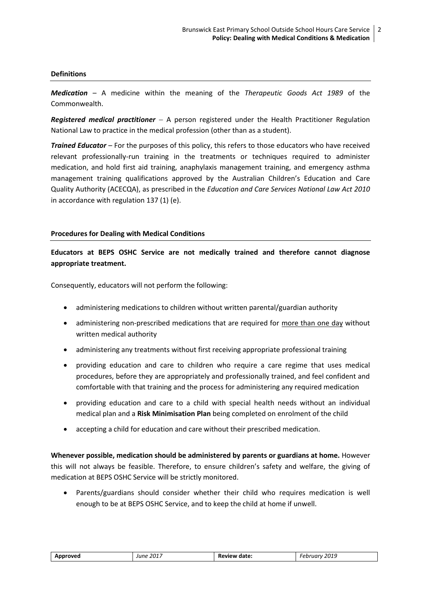#### **Definitions**

*Medication* – A medicine within the meaning of the *Therapeutic Goods Act 1989* of the Commonwealth.

**Registered medical practitioner** – A person registered under the Health Practitioner Regulation National Law to practice in the medical profession (other than as a student).

*Trained Educator* – For the purposes of this policy, this refers to those educators who have received relevant professionally-run training in the treatments or techniques required to administer medication, and hold first aid training, anaphylaxis management training, and emergency asthma management training qualifications approved by the Australian Children's Education and Care Quality Authority (ACECQA), as prescribed in the *Education and Care Services National Law Act 2010* in accordance with regulation 137 (1) (e).

## **Procedures for Dealing with Medical Conditions**

**Educators at BEPS OSHC Service are not medically trained and therefore cannot diagnose appropriate treatment.**

Consequently, educators will not perform the following:

- administering medications to children without written parental/guardian authority
- administering non‐prescribed medications that are required for more than one day without written medical authority
- administering any treatments without first receiving appropriate professional training
- providing education and care to children who require a care regime that uses medical procedures, before they are appropriately and professionally trained, and feel confident and comfortable with that training and the process for administering any required medication
- providing education and care to a child with special health needs without an individual medical plan and a **Risk Minimisation Plan** being completed on enrolment of the child
- accepting a child for education and care without their prescribed medication.

**Whenever possible, medication should be administered by parents or guardians at home.** However this will not always be feasible. Therefore, to ensure children's safety and welfare, the giving of medication at BEPS OSHC Service will be strictly monitored.

 Parents/guardians should consider whether their child who requires medication is well enough to be at BEPS OSHC Service, and to keep the child at home if unwell.

| Approved | . 2017<br>June | Review<br>date: | 2019<br>n h<br>.<br>- CDI<br>___ |
|----------|----------------|-----------------|----------------------------------|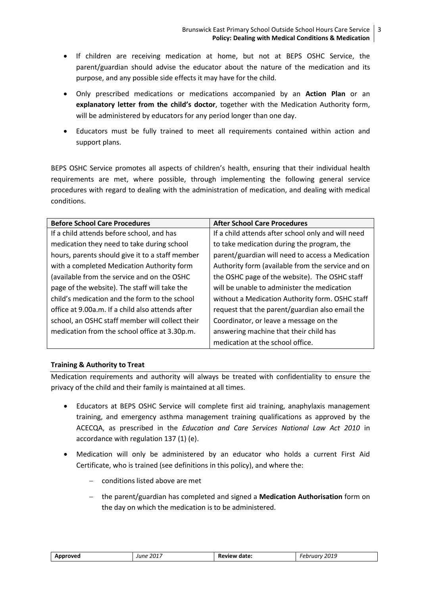- If children are receiving medication at home, but not at BEPS OSHC Service, the parent/guardian should advise the educator about the nature of the medication and its purpose, and any possible side effects it may have for the child.
- Only prescribed medications or medications accompanied by an **Action Plan** or an **explanatory letter from the child's doctor**, together with the Medication Authority form, will be administered by educators for any period longer than one day.
- Educators must be fully trained to meet all requirements contained within action and support plans.

BEPS OSHC Service promotes all aspects of children's health, ensuring that their individual health requirements are met, where possible, through implementing the following general service procedures with regard to dealing with the administration of medication, and dealing with medical conditions.

| <b>Before School Care Procedures</b>             | <b>After School Care Procedures</b>                |
|--------------------------------------------------|----------------------------------------------------|
| If a child attends before school, and has        | If a child attends after school only and will need |
| medication they need to take during school       | to take medication during the program, the         |
| hours, parents should give it to a staff member  | parent/guardian will need to access a Medication   |
| with a completed Medication Authority form       | Authority form (available from the service and on  |
| (available from the service and on the OSHC      | the OSHC page of the website). The OSHC staff      |
| page of the website). The staff will take the    | will be unable to administer the medication        |
| child's medication and the form to the school    | without a Medication Authority form. OSHC staff    |
| office at 9.00a.m. If a child also attends after | request that the parent/guardian also email the    |
| school, an OSHC staff member will collect their  | Coordinator, or leave a message on the             |
| medication from the school office at 3.30p.m.    | answering machine that their child has             |
|                                                  | medication at the school office.                   |

## **Training & Authority to Treat**

Medication requirements and authority will always be treated with confidentiality to ensure the privacy of the child and their family is maintained at all times.

- Educators at BEPS OSHC Service will complete first aid training, anaphylaxis management training, and emergency asthma management training qualifications as approved by the ACECQA, as prescribed in the *Education and Care Services National Law Act 2010* in accordance with regulation 137 (1) (e).
- Medication will only be administered by an educator who holds a current First Aid Certificate, who is trained (see definitions in this policy), and where the:
	- conditions listed above are met
	- the parent/guardian has completed and signed a **Medication Authorisation** form on the day on which the medication is to be administered.

| Approved | 2017<br>June | Review date: | 2019<br>- -<br>۰۵۰<br>ıuı<br>- UU |
|----------|--------------|--------------|-----------------------------------|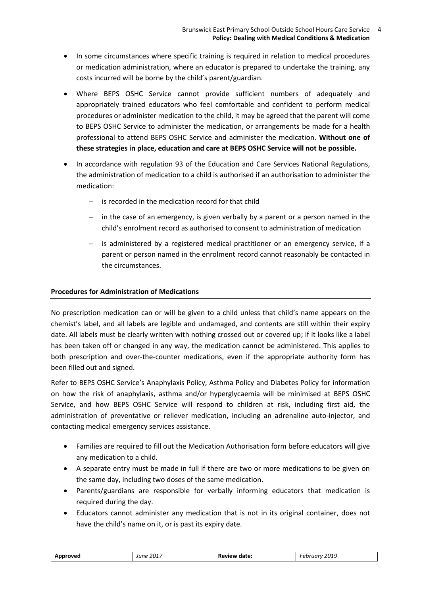- In some circumstances where specific training is required in relation to medical procedures or medication administration, where an educator is prepared to undertake the training, any costs incurred will be borne by the child's parent/guardian.
- Where BEPS OSHC Service cannot provide sufficient numbers of adequately and appropriately trained educators who feel comfortable and confident to perform medical procedures or administer medication to the child, it may be agreed that the parent will come to BEPS OSHC Service to administer the medication, or arrangements be made for a health professional to attend BEPS OSHC Service and administer the medication. **Without one of these strategies in place, education and care at BEPS OSHC Service will not be possible.**
- In accordance with regulation 93 of the Education and Care Services National Regulations, the administration of medication to a child is authorised if an authorisation to administer the medication:
	- is recorded in the medication record for that child
	- $-$  in the case of an emergency, is given verbally by a parent or a person named in the child's enrolment record as authorised to consent to administration of medication
	- $-$  is administered by a registered medical practitioner or an emergency service, if a parent or person named in the enrolment record cannot reasonably be contacted in the circumstances.

## **Procedures for Administration of Medications**

No prescription medication can or will be given to a child unless that child's name appears on the chemist's label, and all labels are legible and undamaged, and contents are still within their expiry date. All labels must be clearly written with nothing crossed out or covered up; if it looks like a label has been taken off or changed in any way, the medication cannot be administered. This applies to both prescription and over-the-counter medications, even if the appropriate authority form has been filled out and signed.

Refer to BEPS OSHC Service's Anaphylaxis Policy, Asthma Policy and Diabetes Policy for information on how the risk of anaphylaxis, asthma and/or hyperglycaemia will be minimised at BEPS OSHC Service, and how BEPS OSHC Service will respond to children at risk, including first aid, the administration of preventative or reliever medication, including an adrenaline auto-injector, and contacting medical emergency services assistance.

- Families are required to fill out the Medication Authorisation form before educators will give any medication to a child.
- A separate entry must be made in full if there are two or more medications to be given on the same day, including two doses of the same medication.
- Parents/guardians are responsible for verbally informing educators that medication is required during the day.
- Educators cannot administer any medication that is not in its original container, does not have the child's name on it, or is past its expiry date.

| June 2017<br>Approved | Review date: | February 2019 |
|-----------------------|--------------|---------------|
|-----------------------|--------------|---------------|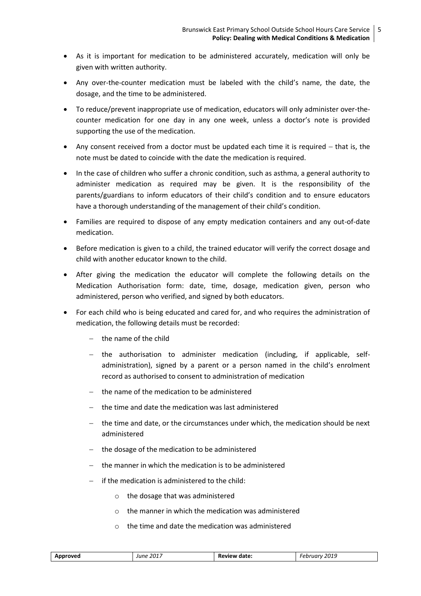- As it is important for medication to be administered accurately, medication will only be given with written authority.
- Any over-the-counter medication must be labeled with the child's name, the date, the dosage, and the time to be administered.
- To reduce/prevent inappropriate use of medication, educators will only administer over-thecounter medication for one day in any one week, unless a doctor's note is provided supporting the use of the medication.
- Any consent received from a doctor must be updated each time it is required  $-$  that is, the note must be dated to coincide with the date the medication is required.
- In the case of children who suffer a chronic condition, such as asthma, a general authority to administer medication as required may be given. It is the responsibility of the parents/guardians to inform educators of their child's condition and to ensure educators have a thorough understanding of the management of their child's condition.
- Families are required to dispose of any empty medication containers and any out-of-date medication.
- Before medication is given to a child, the trained educator will verify the correct dosage and child with another educator known to the child.
- After giving the medication the educator will complete the following details on the Medication Authorisation form: date, time, dosage, medication given, person who administered, person who verified, and signed by both educators.
- For each child who is being educated and cared for, and who requires the administration of medication, the following details must be recorded:
	- $-$  the name of the child
	- the authorisation to administer medication (including, if applicable, selfadministration), signed by a parent or a person named in the child's enrolment record as authorised to consent to administration of medication
	- the name of the medication to be administered
	- the time and date the medication was last administered
	- $-$  the time and date, or the circumstances under which, the medication should be next administered
	- $-$  the dosage of the medication to be administered
	- the manner in which the medication is to be administered
	- if the medication is administered to the child:
		- o the dosage that was administered
		- o the manner in which the medication was administered
		- $\circ$  the time and date the medication was administered

| Approved | . 2017<br>June | Review date: | 2019<br>Februarv<br>___ |
|----------|----------------|--------------|-------------------------|
|          |                |              |                         |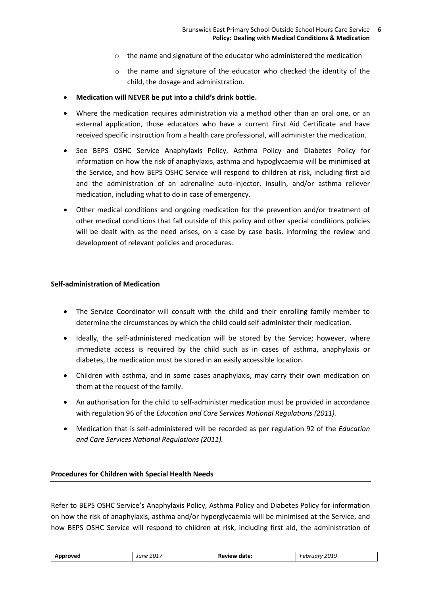- o the name and signature of the educator who administered the medication
- $\circ$  the name and signature of the educator who checked the identity of the child, the dosage and administration.
- **Medication will NEVER be put into a child's drink bottle.**
- Where the medication requires administration via a method other than an oral one, or an external application, those educators who have a current First Aid Certificate and have received specific instruction from a health care professional, will administer the medication.
- See BEPS OSHC Service Anaphylaxis Policy, Asthma Policy and Diabetes Policy for information on how the risk of anaphylaxis, asthma and hypoglycaemia will be minimised at the Service, and how BEPS OSHC Service will respond to children at risk, including first aid and the administration of an adrenaline auto-injector, insulin, and/or asthma reliever medication, including what to do in case of emergency.
- Other medical conditions and ongoing medication for the prevention and/or treatment of other medical conditions that fall outside of this policy and other special conditions policies will be dealt with as the need arises, on a case by case basis, informing the review and development of relevant policies and procedures.

#### **Self-administration of Medication**

- The Service Coordinator will consult with the child and their enrolling family member to determine the circumstances by which the child could self-administer their medication.
- Ideally, the self-administered medication will be stored by the Service; however, where immediate access is required by the child such as in cases of asthma, anaphylaxis or diabetes, the medication must be stored in an easily accessible location.
- Children with asthma, and in some cases anaphylaxis, may carry their own medication on them at the request of the family.
- An authorisation for the child to self-administer medication must be provided in accordance with regulation 96 of the *Education and Care Services National Regulations (2011).*
- Medication that is self-administered will be recorded as per regulation 92 of the *Education and Care Services National Regulations (2011).*

#### **Procedures for Children with Special Health Needs**

Refer to BEPS OSHC Service's Anaphylaxis Policy, Asthma Policy and Diabetes Policy for information on how the risk of anaphylaxis, asthma and/or hyperglycaemia will be minimised at the Service, and how BEPS OSHC Service will respond to children at risk, including first aid, the administration of

| Approved | June 2017 | Review date: | February 2019 |
|----------|-----------|--------------|---------------|
|----------|-----------|--------------|---------------|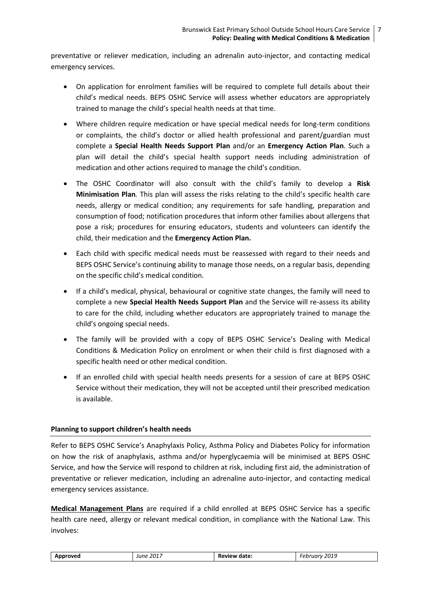preventative or reliever medication, including an adrenalin auto-injector, and contacting medical emergency services.

- On application for enrolment families will be required to complete full details about their child's medical needs. BEPS OSHC Service will assess whether educators are appropriately trained to manage the child's special health needs at that time.
- Where children require medication or have special medical needs for long-term conditions or complaints, the child's doctor or allied health professional and parent/guardian must complete a **Special Health Needs Support Plan** and/or an **Emergency Action Plan**. Such a plan will detail the child's special health support needs including administration of medication and other actions required to manage the child's condition.
- The OSHC Coordinator will also consult with the child's family to develop a **Risk Minimisation Plan***.* This plan will assess the risks relating to the child's specific health care needs, allergy or medical condition; any requirements for safe handling, preparation and consumption of food; notification procedures that inform other families about allergens that pose a risk; procedures for ensuring educators, students and volunteers can identify the child, their medication and the **Emergency Action Plan.**
- Each child with specific medical needs must be reassessed with regard to their needs and BEPS OSHC Service's continuing ability to manage those needs, on a regular basis, depending on the specific child's medical condition.
- If a child's medical, physical, behavioural or cognitive state changes, the family will need to complete a new **Special Health Needs Support Plan** and the Service will re-assess its ability to care for the child, including whether educators are appropriately trained to manage the child's ongoing special needs.
- The family will be provided with a copy of BEPS OSHC Service's Dealing with Medical Conditions & Medication Policy on enrolment or when their child is first diagnosed with a specific health need or other medical condition.
- If an enrolled child with special health needs presents for a session of care at BEPS OSHC Service without their medication, they will not be accepted until their prescribed medication is available.

## **Planning to support children's health needs**

Refer to BEPS OSHC Service's Anaphylaxis Policy, Asthma Policy and Diabetes Policy for information on how the risk of anaphylaxis, asthma and/or hyperglycaemia will be minimised at BEPS OSHC Service, and how the Service will respond to children at risk, including first aid, the administration of preventative or reliever medication, including an adrenaline auto-injector, and contacting medical emergency services assistance.

**Medical Management Plans** are required if a child enrolled at BEPS OSHC Service has a specific health care need, allergy or relevant medical condition, in compliance with the National Law. This involves:

| Approved | June 2017 | Review date: | Februarv 2019 |
|----------|-----------|--------------|---------------|
|          |           |              |               |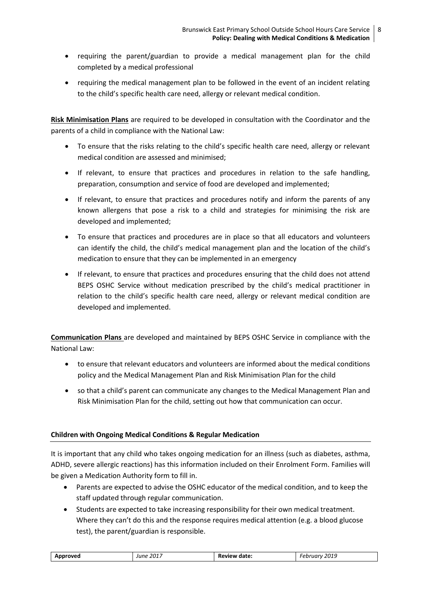- requiring the parent/guardian to provide a medical management plan for the child completed by a medical professional
- requiring the medical management plan to be followed in the event of an incident relating to the child's specific health care need, allergy or relevant medical condition.

**Risk Minimisation Plans** are required to be developed in consultation with the Coordinator and the parents of a child in compliance with the National Law:

- To ensure that the risks relating to the child's specific health care need, allergy or relevant medical condition are assessed and minimised;
- If relevant, to ensure that practices and procedures in relation to the safe handling, preparation, consumption and service of food are developed and implemented;
- If relevant, to ensure that practices and procedures notify and inform the parents of any known allergens that pose a risk to a child and strategies for minimising the risk are developed and implemented;
- To ensure that practices and procedures are in place so that all educators and volunteers can identify the child, the child's medical management plan and the location of the child's medication to ensure that they can be implemented in an emergency
- If relevant, to ensure that practices and procedures ensuring that the child does not attend BEPS OSHC Service without medication prescribed by the child's medical practitioner in relation to the child's specific health care need, allergy or relevant medical condition are developed and implemented.

**Communication Plans** are developed and maintained by BEPS OSHC Service in compliance with the National Law:

- to ensure that relevant educators and volunteers are informed about the medical conditions policy and the Medical Management Plan and Risk Minimisation Plan for the child
- so that a child's parent can communicate any changes to the Medical Management Plan and Risk Minimisation Plan for the child, setting out how that communication can occur.

## **Children with Ongoing Medical Conditions & Regular Medication**

It is important that any child who takes ongoing medication for an illness (such as diabetes, asthma, ADHD, severe allergic reactions) has this information included on their Enrolment Form. Families will be given a Medication Authority form to fill in.

- Parents are expected to advise the OSHC educator of the medical condition, and to keep the staff updated through regular communication.
- Students are expected to take increasing responsibility for their own medical treatment. Where they can't do this and the response requires medical attention (e.g. a blood glucose test), the parent/guardian is responsible.

| <b>June 2017</b><br>Approved | Review date: | 2019<br>-ebruarv |
|------------------------------|--------------|------------------|
|------------------------------|--------------|------------------|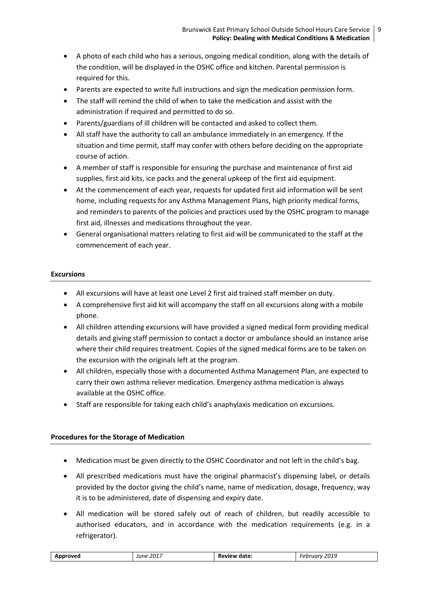- A photo of each child who has a serious, ongoing medical condition, along with the details of the condition, will be displayed in the OSHC office and kitchen. Parental permission is required for this.
- Parents are expected to write full instructions and sign the medication permission form.
- The staff will remind the child of when to take the medication and assist with the administration if required and permitted to do so.
- Parents/guardians of ill children will be contacted and asked to collect them.
- All staff have the authority to call an ambulance immediately in an emergency. If the situation and time permit, staff may confer with others before deciding on the appropriate course of action.
- A member of staff is responsible for ensuring the purchase and maintenance of first aid supplies, first aid kits, ice packs and the general upkeep of the first aid equipment.
- At the commencement of each year, requests for updated first aid information will be sent home, including requests for any Asthma Management Plans, high priority medical forms, and reminders to parents of the policies and practices used by the OSHC program to manage first aid, illnesses and medications throughout the year.
- General organisational matters relating to first aid will be communicated to the staff at the commencement of each year.

## **Excursions**

- All excursions will have at least one Level 2 first aid trained staff member on duty.
- A comprehensive first aid kit will accompany the staff on all excursions along with a mobile phone.
- All children attending excursions will have provided a signed medical form providing medical details and giving staff permission to contact a doctor or ambulance should an instance arise where their child requires treatment. Copies of the signed medical forms are to be taken on the excursion with the originals left at the program.
- All children, especially those with a documented Asthma Management Plan, are expected to carry their own asthma reliever medication. Emergency asthma medication is always available at the OSHC office.
- Staff are responsible for taking each child's anaphylaxis medication on excursions.

## **Procedures for the Storage of Medication**

- Medication must be given directly to the OSHC Coordinator and not left in the child's bag.
- All prescribed medications must have the original pharmacist's dispensing label, or details provided by the doctor giving the child's name, name of medication, dosage, frequency, way it is to be administered, date of dispensing and expiry date.
- All medication will be stored safely out of reach of children, but readily accessible to authorised educators, and in accordance with the medication requirements (e.g. in a refrigerator).

| February 2019<br>June 2017<br>Approved<br>Review date: |  |
|--------------------------------------------------------|--|
|--------------------------------------------------------|--|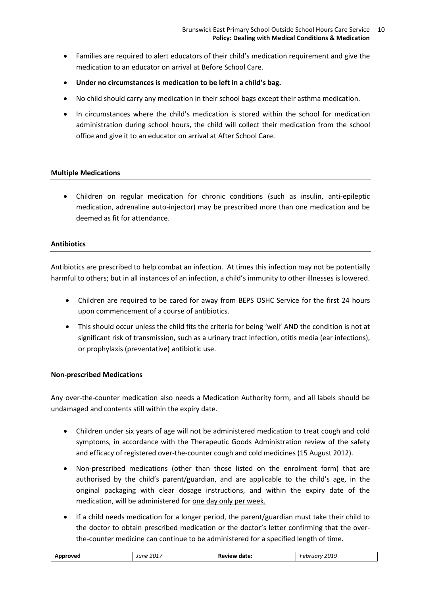- Families are required to alert educators of their child's medication requirement and give the medication to an educator on arrival at Before School Care.
- **Under no circumstances is medication to be left in a child's bag.**
- No child should carry any medication in their school bags except their asthma medication.
- In circumstances where the child's medication is stored within the school for medication administration during school hours, the child will collect their medication from the school office and give it to an educator on arrival at After School Care.

## **Multiple Medications**

 Children on regular medication for chronic conditions (such as insulin, anti-epileptic medication, adrenaline auto-injector) may be prescribed more than one medication and be deemed as fit for attendance.

#### **Antibiotics**

Antibiotics are prescribed to help combat an infection. At times this infection may not be potentially harmful to others; but in all instances of an infection, a child's immunity to other illnesses is lowered.

- Children are required to be cared for away from BEPS OSHC Service for the first 24 hours upon commencement of a course of antibiotics.
- This should occur unless the child fits the criteria for being 'well' AND the condition is not at significant risk of transmission, such as a urinary tract infection, otitis media (ear infections), or prophylaxis (preventative) antibiotic use.

#### **Non-prescribed Medications**

Any over-the-counter medication also needs a Medication Authority form, and all labels should be undamaged and contents still within the expiry date.

- Children under six years of age will not be administered medication to treat cough and cold symptoms, in accordance with the Therapeutic Goods Administration review of the safety and efficacy of registered over-the-counter cough and cold medicines (15 August 2012).
- Non-prescribed medications (other than those listed on the enrolment form) that are authorised by the child's parent/guardian, and are applicable to the child's age, in the original packaging with clear dosage instructions, and within the expiry date of the medication, will be administered for one day only per week.
- If a child needs medication for a longer period, the parent/guardian must take their child to the doctor to obtain prescribed medication or the doctor's letter confirming that the overthe-counter medicine can continue to be administered for a specified length of time.

| Approved | June 2017 | Review date: | 2019<br>Februarv<br>---- |
|----------|-----------|--------------|--------------------------|
|          |           |              |                          |